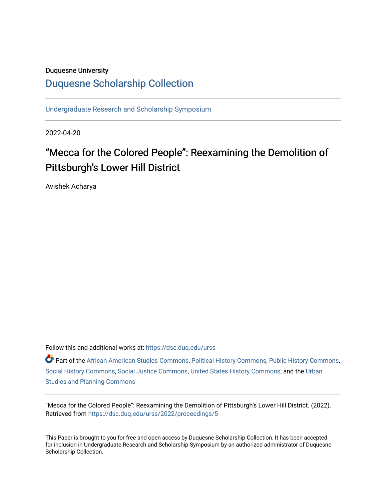### Duquesne University

# [Duquesne Scholarship Collection](https://dsc.duq.edu/)

[Undergraduate Research and Scholarship Symposium](https://dsc.duq.edu/urss)

2022-04-20

# "Mecca for the Colored People": Reexamining the Demolition of Pittsburgh's Lower Hill District

Avishek Acharya

Follow this and additional works at: [https://dsc.duq.edu/urss](https://dsc.duq.edu/urss?utm_source=dsc.duq.edu%2Furss%2F2022%2Fproceedings%2F5&utm_medium=PDF&utm_campaign=PDFCoverPages)

Part of the [African American Studies Commons,](https://network.bepress.com/hgg/discipline/567?utm_source=dsc.duq.edu%2Furss%2F2022%2Fproceedings%2F5&utm_medium=PDF&utm_campaign=PDFCoverPages) [Political History Commons](https://network.bepress.com/hgg/discipline/505?utm_source=dsc.duq.edu%2Furss%2F2022%2Fproceedings%2F5&utm_medium=PDF&utm_campaign=PDFCoverPages), [Public History Commons](https://network.bepress.com/hgg/discipline/1292?utm_source=dsc.duq.edu%2Furss%2F2022%2Fproceedings%2F5&utm_medium=PDF&utm_campaign=PDFCoverPages), [Social History Commons](https://network.bepress.com/hgg/discipline/506?utm_source=dsc.duq.edu%2Furss%2F2022%2Fproceedings%2F5&utm_medium=PDF&utm_campaign=PDFCoverPages), [Social Justice Commons](https://network.bepress.com/hgg/discipline/1432?utm_source=dsc.duq.edu%2Furss%2F2022%2Fproceedings%2F5&utm_medium=PDF&utm_campaign=PDFCoverPages), [United States History Commons,](https://network.bepress.com/hgg/discipline/495?utm_source=dsc.duq.edu%2Furss%2F2022%2Fproceedings%2F5&utm_medium=PDF&utm_campaign=PDFCoverPages) and the [Urban](https://network.bepress.com/hgg/discipline/436?utm_source=dsc.duq.edu%2Furss%2F2022%2Fproceedings%2F5&utm_medium=PDF&utm_campaign=PDFCoverPages) [Studies and Planning Commons](https://network.bepress.com/hgg/discipline/436?utm_source=dsc.duq.edu%2Furss%2F2022%2Fproceedings%2F5&utm_medium=PDF&utm_campaign=PDFCoverPages)

"Mecca for the Colored People": Reexamining the Demolition of Pittsburgh's Lower Hill District. (2022). Retrieved from [https://dsc.duq.edu/urss/2022/proceedings/5](https://dsc.duq.edu/urss/2022/proceedings/5?utm_source=dsc.duq.edu%2Furss%2F2022%2Fproceedings%2F5&utm_medium=PDF&utm_campaign=PDFCoverPages)

This Paper is brought to you for free and open access by Duquesne Scholarship Collection. It has been accepted for inclusion in Undergraduate Research and Scholarship Symposium by an authorized administrator of Duquesne Scholarship Collection.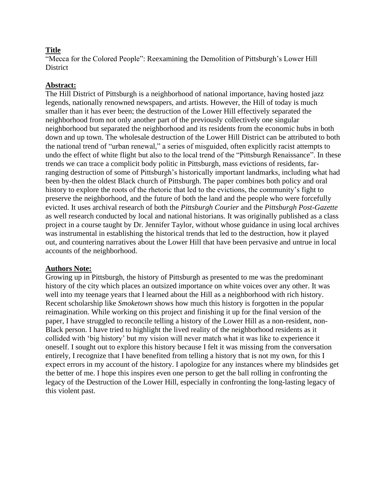## **Title**

"Mecca for the Colored People": Reexamining the Demolition of Pittsburgh's Lower Hill District

### **Abstract:**

The Hill District of Pittsburgh is a neighborhood of national importance, having hosted jazz legends, nationally renowned newspapers, and artists. However, the Hill of today is much smaller than it has ever been; the destruction of the Lower Hill effectively separated the neighborhood from not only another part of the previously collectively one singular neighborhood but separated the neighborhood and its residents from the economic hubs in both down and up town. The wholesale destruction of the Lower Hill District can be attributed to both the national trend of "urban renewal," a series of misguided, often explicitly racist attempts to undo the effect of white flight but also to the local trend of the "Pittsburgh Renaissance". In these trends we can trace a complicit body politic in Pittsburgh, mass evictions of residents, farranging destruction of some of Pittsburgh's historically important landmarks, including what had been by-then the oldest Black church of Pittsburgh. The paper combines both policy and oral history to explore the roots of the rhetoric that led to the evictions, the community's fight to preserve the neighborhood, and the future of both the land and the people who were forcefully evicted. It uses archival research of both the *Pittsburgh Courier* and the *Pittsburgh Post-Gazette* as well research conducted by local and national historians. It was originally published as a class project in a course taught by Dr. Jennifer Taylor, without whose guidance in using local archives was instrumental in establishing the historical trends that led to the destruction, how it played out, and countering narratives about the Lower Hill that have been pervasive and untrue in local accounts of the neighborhood.

#### **Authors Note:**

Growing up in Pittsburgh, the history of Pittsburgh as presented to me was the predominant history of the city which places an outsized importance on white voices over any other. It was well into my teenage years that I learned about the Hill as a neighborhood with rich history. Recent scholarship like *Smoketown* shows how much this history is forgotten in the popular reimagination. While working on this project and finishing it up for the final version of the paper, I have struggled to reconcile telling a history of the Lower Hill as a non-resident, non-Black person. I have tried to highlight the lived reality of the neighborhood residents as it collided with 'big history' but my vision will never match what it was like to experience it oneself. I sought out to explore this history because I felt it was missing from the conversation entirely, I recognize that I have benefited from telling a history that is not my own, for this I expect errors in my account of the history. I apologize for any instances where my blindsides get the better of me. I hope this inspires even one person to get the ball rolling in confronting the legacy of the Destruction of the Lower Hill, especially in confronting the long-lasting legacy of this violent past.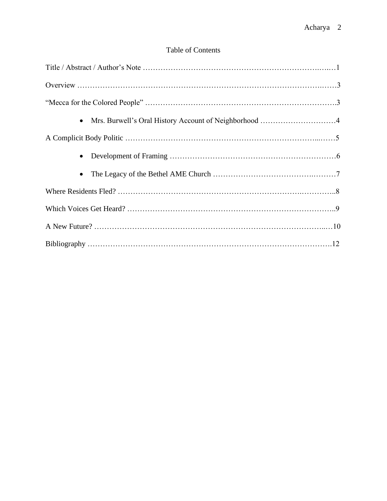# Table of Contents

| Mrs. Burwell's Oral History Account of Neighborhood 4<br>$\bullet$ |
|--------------------------------------------------------------------|
|                                                                    |
| $\bullet$                                                          |
|                                                                    |
|                                                                    |
|                                                                    |
|                                                                    |
|                                                                    |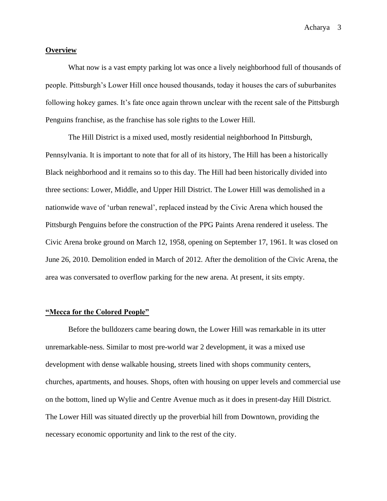#### **Overview**

What now is a vast empty parking lot was once a lively neighborhood full of thousands of people. Pittsburgh's Lower Hill once housed thousands, today it houses the cars of suburbanites following hokey games. It's fate once again thrown unclear with the recent sale of the Pittsburgh Penguins franchise, as the franchise has sole rights to the Lower Hill.

The Hill District is a mixed used, mostly residential neighborhood In Pittsburgh, Pennsylvania. It is important to note that for all of its history, The Hill has been a historically Black neighborhood and it remains so to this day. The Hill had been historically divided into three sections: Lower, Middle, and Upper Hill District. The Lower Hill was demolished in a nationwide wave of 'urban renewal', replaced instead by the Civic Arena which housed the Pittsburgh Penguins before the construction of the PPG Paints Arena rendered it useless. The Civic Arena broke ground on March 12, 1958, opening on September 17, 1961. It was closed on June 26, 2010. Demolition ended in March of 2012. After the demolition of the Civic Arena, the area was conversated to overflow parking for the new arena. At present, it sits empty.

#### **"Mecca for the Colored People"**

Before the bulldozers came bearing down, the Lower Hill was remarkable in its utter unremarkable-ness. Similar to most pre-world war 2 development, it was a mixed use development with dense walkable housing, streets lined with shops community centers, churches, apartments, and houses. Shops, often with housing on upper levels and commercial use on the bottom, lined up Wylie and Centre Avenue much as it does in present-day Hill District. The Lower Hill was situated directly up the proverbial hill from Downtown, providing the necessary economic opportunity and link to the rest of the city.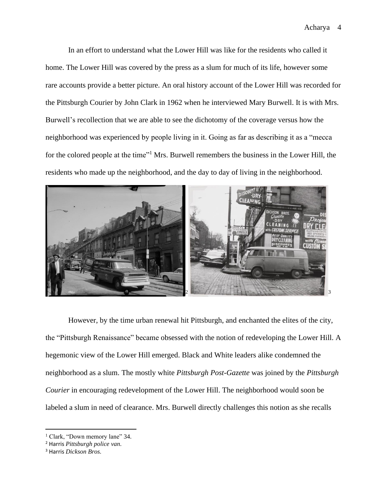In an effort to understand what the Lower Hill was like for the residents who called it home. The Lower Hill was covered by the press as a slum for much of its life, however some rare accounts provide a better picture. An oral history account of the Lower Hill was recorded for the Pittsburgh Courier by John Clark in 1962 when he interviewed Mary Burwell. It is with Mrs. Burwell's recollection that we are able to see the dichotomy of the coverage versus how the neighborhood was experienced by people living in it. Going as far as describing it as a "mecca for the colored people at the time"<sup>1</sup> Mrs. Burwell remembers the business in the Lower Hill, the residents who made up the neighborhood, and the day to day of living in the neighborhood.



However, by the time urban renewal hit Pittsburgh, and enchanted the elites of the city, the "Pittsburgh Renaissance" became obsessed with the notion of redeveloping the Lower Hill. A hegemonic view of the Lower Hill emerged. Black and White leaders alike condemned the neighborhood as a slum. The mostly white *Pittsburgh Post-Gazette* was joined by the *Pittsburgh Courier* in encouraging redevelopment of the Lower Hill. The neighborhood would soon be labeled a slum in need of clearance. Mrs. Burwell directly challenges this notion as she recalls

<sup>&</sup>lt;sup>1</sup> Clark, "Down memory lane" 34.

<sup>2</sup> Harris *Pittsburgh police van.*

<sup>3</sup> Harris *Dickson Bros.*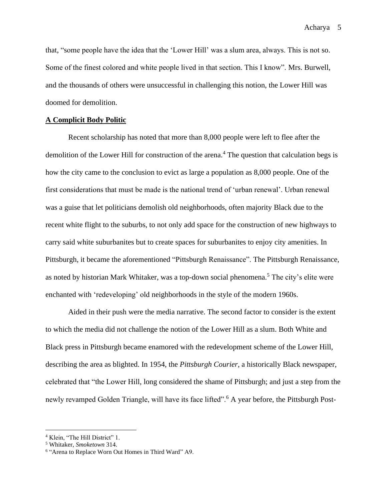that, "some people have the idea that the 'Lower Hill' was a slum area, always. This is not so. Some of the finest colored and white people lived in that section. This I know". Mrs. Burwell, and the thousands of others were unsuccessful in challenging this notion, the Lower Hill was doomed for demolition.

#### **A Complicit Body Politic**

Recent scholarship has noted that more than 8,000 people were left to flee after the demolition of the Lower Hill for construction of the arena.<sup>4</sup> The question that calculation begs is how the city came to the conclusion to evict as large a population as 8,000 people. One of the first considerations that must be made is the national trend of 'urban renewal'. Urban renewal was a guise that let politicians demolish old neighborhoods, often majority Black due to the recent white flight to the suburbs, to not only add space for the construction of new highways to carry said white suburbanites but to create spaces for suburbanites to enjoy city amenities. In Pittsburgh, it became the aforementioned "Pittsburgh Renaissance". The Pittsburgh Renaissance, as noted by historian Mark Whitaker, was a top-down social phenomena.<sup>5</sup> The city's elite were enchanted with 'redeveloping' old neighborhoods in the style of the modern 1960s.

Aided in their push were the media narrative. The second factor to consider is the extent to which the media did not challenge the notion of the Lower Hill as a slum. Both White and Black press in Pittsburgh became enamored with the redevelopment scheme of the Lower Hill, describing the area as blighted. In 1954, the *Pittsburgh Courier*, a historically Black newspaper, celebrated that "the Lower Hill, long considered the shame of Pittsburgh; and just a step from the newly revamped Golden Triangle, will have its face lifted".<sup>6</sup> A year before, the Pittsburgh Post-

<sup>&</sup>lt;sup>4</sup> Klein, "The Hill District" 1.

<sup>5</sup> Whitaker, *Smoketown* 314.

<sup>6</sup> "Arena to Replace Worn Out Homes in Third Ward" A9.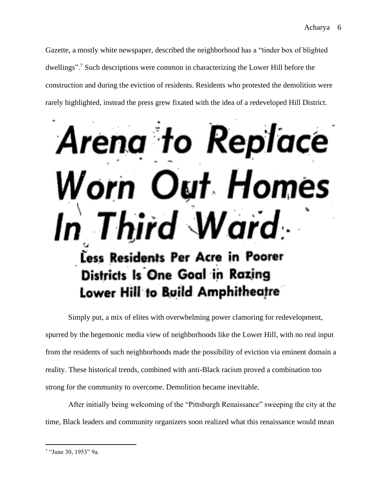Gazette, a mostly white newspaper, described the neighborhood has a "tinder box of blighted dwellings".<sup>7</sup> Such descriptions were common in characterizing the Lower Hill before the construction and during the eviction of residents. Residents who protested the demolition were rarely highlighted, instead the press grew fixated with the idea of a redeveloped Hill District.

# na to Replace rei ut Homes ird Ward. Less Residents Per Acre in Poorer Districts Is One Goal in Razing Lower Hill to Build Amphitheatre

Simply put, a mix of elites with overwhelming power clamoring for redevelopment, spurred by the hegemonic media view of neighborhoods like the Lower Hill, with no real input from the residents of such neighborhoods made the possibility of eviction via eminent domain a reality. These historical trends, combined with anti-Black racism proved a combination too strong for the community to overcome. Demolition became inevitable.

After initially being welcoming of the "Pittsburgh Renaissance" sweeping the city at the time, Black leaders and community organizers soon realized what this renaissance would mean

<sup>7</sup> "June 30, 1953" 9a.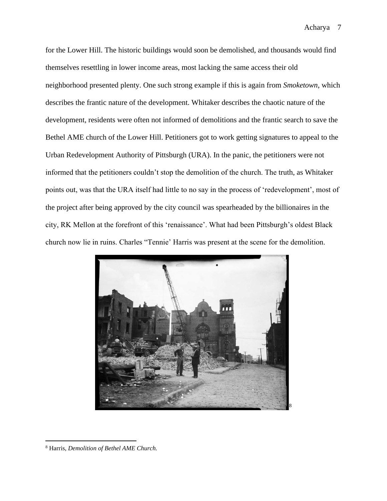for the Lower Hill. The historic buildings would soon be demolished, and thousands would find themselves resettling in lower income areas, most lacking the same access their old neighborhood presented plenty. One such strong example if this is again from *Smoketown*, which describes the frantic nature of the development. Whitaker describes the chaotic nature of the development, residents were often not informed of demolitions and the frantic search to save the Bethel AME church of the Lower Hill. Petitioners got to work getting signatures to appeal to the Urban Redevelopment Authority of Pittsburgh (URA). In the panic, the petitioners were not informed that the petitioners couldn't stop the demolition of the church. The truth, as Whitaker points out, was that the URA itself had little to no say in the process of 'redevelopment', most of the project after being approved by the city council was spearheaded by the billionaires in the city, RK Mellon at the forefront of this 'renaissance'. What had been Pittsburgh's oldest Black church now lie in ruins. Charles "Tennie' Harris was present at the scene for the demolition.



<sup>8</sup> Harris, *Demolition of Bethel AME Church.*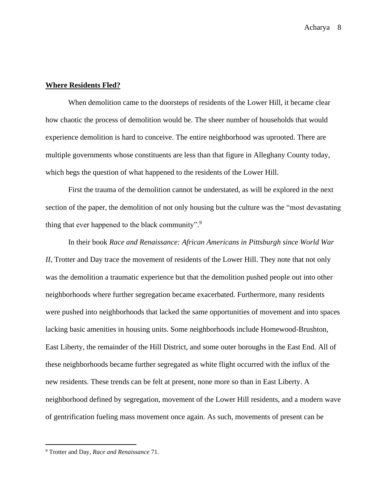#### **Where Residents Fled?**

When demolition came to the doorsteps of residents of the Lower Hill, it became clear how chaotic the process of demolition would be. The sheer number of households that would experience demolition is hard to conceive. The entire neighborhood was uprooted. There are multiple governments whose constituents are less than that figure in Alleghany County today, which begs the question of what happened to the residents of the Lower Hill.

First the trauma of the demolition cannot be understated, as will be explored in the next section of the paper, the demolition of not only housing but the culture was the "most devastating thing that ever happened to the black community".<sup>9</sup>

In their book *Race and Renaissance: African Americans in Pittsburgh since World War II*, Trotter and Day trace the movement of residents of the Lower Hill. They note that not only was the demolition a traumatic experience but that the demolition pushed people out into other neighborhoods where further segregation became exacerbated. Furthermore, many residents were pushed into neighborhoods that lacked the same opportunities of movement and into spaces lacking basic amenities in housing units. Some neighborhoods include Homewood-Brushton, East Liberty, the remainder of the Hill District, and some outer boroughs in the East End. All of these neighborhoods became further segregated as white flight occurred with the influx of the new residents. These trends can be felt at present, none more so than in East Liberty. A neighborhood defined by segregation, movement of the Lower Hill residents, and a modern wave of gentrification fueling mass movement once again. As such, movements of present can be

<sup>9</sup> Trotter and Day, *Race and Renaissance* 71.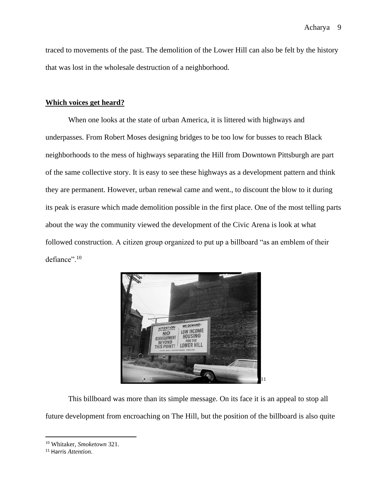traced to movements of the past. The demolition of the Lower Hill can also be felt by the history that was lost in the wholesale destruction of a neighborhood.

#### **Which voices get heard?**

When one looks at the state of urban America, it is littered with highways and underpasses. From Robert Moses designing bridges to be too low for busses to reach Black neighborhoods to the mess of highways separating the Hill from Downtown Pittsburgh are part of the same collective story. It is easy to see these highways as a development pattern and think they are permanent. However, urban renewal came and went., to discount the blow to it during its peak is erasure which made demolition possible in the first place. One of the most telling parts about the way the community viewed the development of the Civic Arena is look at what followed construction. A citizen group organized to put up a billboard "as an emblem of their defiance".<sup>10</sup>



This billboard was more than its simple message. On its face it is an appeal to stop all future development from encroaching on The Hill, but the position of the billboard is also quite

<sup>10</sup> Whitaker, *Smoketown* 321.

<sup>11</sup> Harris *Attention.*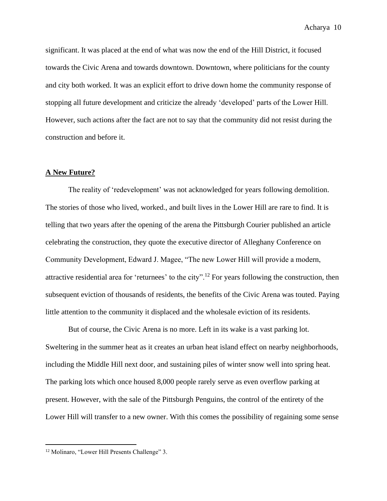significant. It was placed at the end of what was now the end of the Hill District, it focused towards the Civic Arena and towards downtown. Downtown, where politicians for the county and city both worked. It was an explicit effort to drive down home the community response of stopping all future development and criticize the already 'developed' parts of the Lower Hill. However, such actions after the fact are not to say that the community did not resist during the construction and before it.

#### **A New Future?**

The reality of 'redevelopment' was not acknowledged for years following demolition. The stories of those who lived, worked., and built lives in the Lower Hill are rare to find. It is telling that two years after the opening of the arena the Pittsburgh Courier published an article celebrating the construction, they quote the executive director of Alleghany Conference on Community Development, Edward J. Magee, "The new Lower Hill will provide a modern, attractive residential area for 'returnees' to the city".<sup>12</sup> For years following the construction, then subsequent eviction of thousands of residents, the benefits of the Civic Arena was touted. Paying little attention to the community it displaced and the wholesale eviction of its residents.

But of course, the Civic Arena is no more. Left in its wake is a vast parking lot. Sweltering in the summer heat as it creates an urban heat island effect on nearby neighborhoods, including the Middle Hill next door, and sustaining piles of winter snow well into spring heat. The parking lots which once housed 8,000 people rarely serve as even overflow parking at present. However, with the sale of the Pittsburgh Penguins, the control of the entirety of the Lower Hill will transfer to a new owner. With this comes the possibility of regaining some sense

<sup>&</sup>lt;sup>12</sup> Molinaro, "Lower Hill Presents Challenge" 3.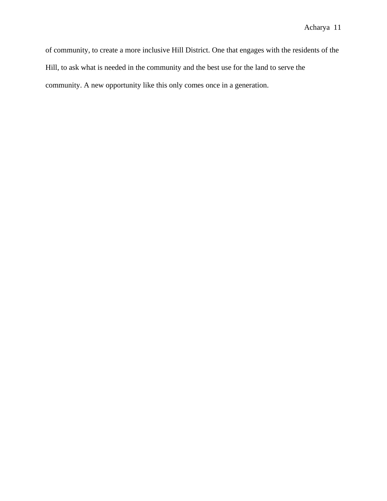of community, to create a more inclusive Hill District. One that engages with the residents of the Hill, to ask what is needed in the community and the best use for the land to serve the community. A new opportunity like this only comes once in a generation.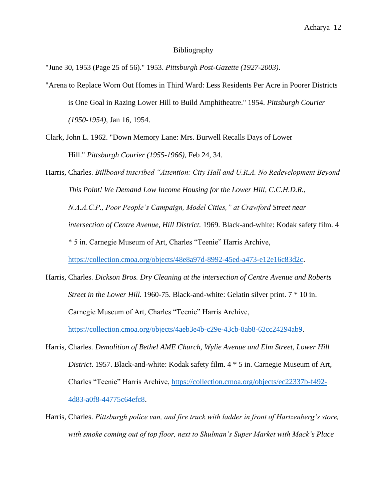#### Bibliography

"June 30, 1953 (Page 25 of 56)." 1953. *Pittsburgh Post-Gazette (1927-2003)*.

- "Arena to Replace Worn Out Homes in Third Ward: Less Residents Per Acre in Poorer Districts is One Goal in Razing Lower Hill to Build Amphitheatre." 1954. *Pittsburgh Courier (1950-1954)*, Jan 16, 1954.
- Clark, John L. 1962. "Down Memory Lane: Mrs. Burwell Recalls Days of Lower Hill." *Pittsburgh Courier (1955-1966)*, Feb 24, 34.

Harris, Charles. *Billboard inscribed "Attention: City Hall and U.R.A. No Redevelopment Beyond This Point! We Demand Low Income Housing for the Lower Hill, C.C.H.D.R., N.A.A.C.P., Poor People's Campaign, Model Cities," at Crawford Street near intersection of Centre Avenue, Hill District.* 1969. Black-and-white: Kodak safety film. 4 \* 5 in. Carnegie Museum of Art, Charles "Teenie" Harris Archive, [https://collection.cmoa.org/objects/48e8a97d-8992-45ed-a473-e12e16c83d2c.](https://collection.cmoa.org/objects/48e8a97d-8992-45ed-a473-e12e16c83d2c)

- Harris, Charles. *Dickson Bros. Dry Cleaning at the intersection of Centre Avenue and Roberts Street in the Lower Hill.* 1960-75. Black-and-white: Gelatin silver print. 7  $*$  10 in. Carnegie Museum of Art, Charles "Teenie" Harris Archive, [https://collection.cmoa.org/objects/4aeb3e4b-c29e-43cb-8ab8-62cc24294ab9.](https://collection.cmoa.org/objects/4aeb3e4b-c29e-43cb-8ab8-62cc24294ab9)
- Harris, Charles. *Demolition of Bethel AME Church, Wylie Avenue and Elm Street, Lower Hill District*. 1957. Black-and-white: Kodak safety film. 4 \* 5 in. Carnegie Museum of Art, Charles "Teenie" Harris Archive, [https://collection.cmoa.org/objects/ec22337b-f492-](https://collection.cmoa.org/objects/ec22337b-f492-4d83-a0f8-44775c64efc8) [4d83-a0f8-44775c64efc8.](https://collection.cmoa.org/objects/ec22337b-f492-4d83-a0f8-44775c64efc8)
- Harris, Charles. *Pittsburgh police van, and fire truck with ladder in front of Hartzenberg's store, with smoke coming out of top floor, next to Shulman's Super Market with Mack's Place*